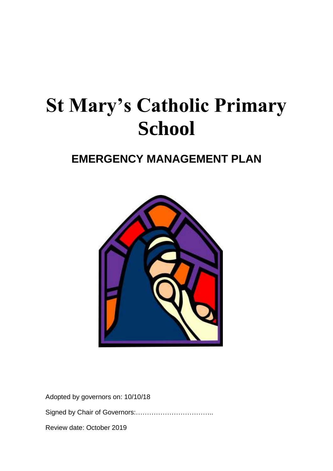# **St Mary's Catholic Primary School**

# **EMERGENCY MANAGEMENT PLAN**



Adopted by governors on: 10/10/18 Signed by Chair of Governors:…………………………….. Review date: October 2019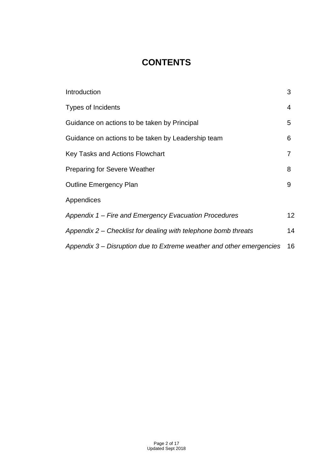## **CONTENTS**

| Introduction                                                         | 3               |
|----------------------------------------------------------------------|-----------------|
| <b>Types of Incidents</b>                                            | 4               |
| Guidance on actions to be taken by Principal                         | 5               |
| Guidance on actions to be taken by Leadership team                   | 6               |
| Key Tasks and Actions Flowchart                                      | 7               |
| <b>Preparing for Severe Weather</b>                                  | 8               |
| <b>Outline Emergency Plan</b>                                        | 9               |
| Appendices                                                           |                 |
| Appendix 1 – Fire and Emergency Evacuation Procedures                | 12 <sup>2</sup> |
| Appendix 2 – Checklist for dealing with telephone bomb threats       | 14              |
| Appendix 3 – Disruption due to Extreme weather and other emergencies | 16              |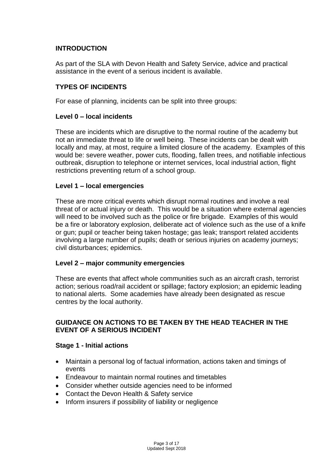#### **INTRODUCTION**

As part of the SLA with Devon Health and Safety Service, advice and practical assistance in the event of a serious incident is available.

#### **TYPES OF INCIDENTS**

For ease of planning, incidents can be split into three groups:

#### **Level 0 – local incidents**

These are incidents which are disruptive to the normal routine of the academy but not an immediate threat to life or well being. These incidents can be dealt with locally and may, at most, require a limited closure of the academy. Examples of this would be: severe weather, power cuts, flooding, fallen trees, and notifiable infectious outbreak, disruption to telephone or internet services, local industrial action, flight restrictions preventing return of a school group.

#### **Level 1 – local emergencies**

These are more critical events which disrupt normal routines and involve a real threat of or actual injury or death. This would be a situation where external agencies will need to be involved such as the police or fire brigade. Examples of this would be a fire or laboratory explosion, deliberate act of violence such as the use of a knife or gun; pupil or teacher being taken hostage; gas leak; transport related accidents involving a large number of pupils; death or serious injuries on academy journeys; civil disturbances; epidemics.

#### **Level 2 – major community emergencies**

These are events that affect whole communities such as an aircraft crash, terrorist action; serious road/rail accident or spillage; factory explosion; an epidemic leading to national alerts. Some academies have already been designated as rescue centres by the local authority.

#### **GUIDANCE ON ACTIONS TO BE TAKEN BY THE HEAD TEACHER IN THE EVENT OF A SERIOUS INCIDENT**

#### **Stage 1 - Initial actions**

- Maintain a personal log of factual information, actions taken and timings of events
- Endeavour to maintain normal routines and timetables
- Consider whether outside agencies need to be informed
- Contact the Devon Health & Safety service
- Inform insurers if possibility of liability or negligence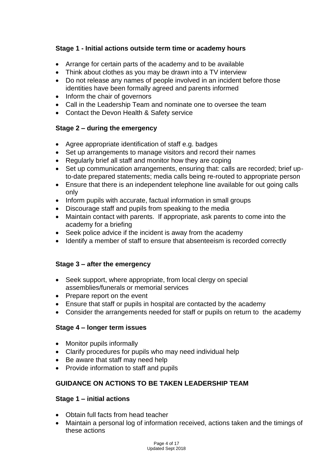## **Stage 1 - Initial actions outside term time or academy hours**

- Arrange for certain parts of the academy and to be available
- Think about clothes as you may be drawn into a TV interview
- Do not release any names of people involved in an incident before those identities have been formally agreed and parents informed
- Inform the chair of governors
- Call in the Leadership Team and nominate one to oversee the team
- Contact the Devon Health & Safety service

## **Stage 2 – during the emergency**

- Agree appropriate identification of staff e.g. badges
- Set up arrangements to manage visitors and record their names
- Regularly brief all staff and monitor how they are coping
- Set up communication arrangements, ensuring that: calls are recorded; brief upto-date prepared statements; media calls being re-routed to appropriate person
- Ensure that there is an independent telephone line available for out going calls only
- Inform pupils with accurate, factual information in small groups
- Discourage staff and pupils from speaking to the media
- Maintain contact with parents. If appropriate, ask parents to come into the academy for a briefing
- Seek police advice if the incident is away from the academy
- Identify a member of staff to ensure that absenteeism is recorded correctly

#### **Stage 3 – after the emergency**

- Seek support, where appropriate, from local clergy on special assemblies/funerals or memorial services
- Prepare report on the event
- Ensure that staff or pupils in hospital are contacted by the academy
- Consider the arrangements needed for staff or pupils on return to the academy

#### **Stage 4 – longer term issues**

- Monitor pupils informally
- Clarify procedures for pupils who may need individual help
- Be aware that staff may need help
- Provide information to staff and pupils

## **GUIDANCE ON ACTIONS TO BE TAKEN LEADERSHIP TEAM**

#### **Stage 1 – initial actions**

- Obtain full facts from head teacher
- Maintain a personal log of information received, actions taken and the timings of these actions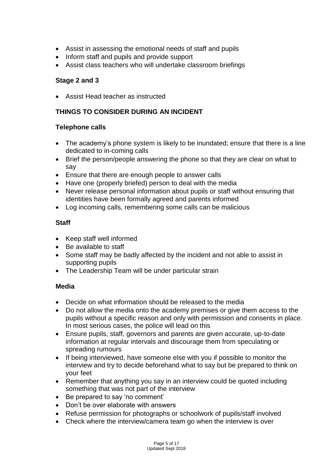- Assist in assessing the emotional needs of staff and pupils
- Inform staff and pupils and provide support
- Assist class teachers who will undertake classroom briefings

#### **Stage 2 and 3**

Assist Head teacher as instructed

## **THINGS TO CONSIDER DURING AN INCIDENT**

#### **Telephone calls**

- The academy's phone system is likely to be inundated; ensure that there is a line dedicated to in-coming calls
- Brief the person/people answering the phone so that they are clear on what to say
- Ensure that there are enough people to answer calls
- Have one (properly briefed) person to deal with the media
- Never release personal information about pupils or staff without ensuring that identities have been formally agreed and parents informed
- Log incoming calls, remembering some calls can be malicious

## **Staff**

- Keep staff well informed
- Be available to staff
- Some staff may be badly affected by the incident and not able to assist in supporting pupils
- The Leadership Team will be under particular strain

#### **Media**

- Decide on what information should be released to the media
- Do not allow the media onto the academy premises or give them access to the pupils without a specific reason and only with permission and consents in place. In most serious cases, the police will lead on this
- Ensure pupils, staff, governors and parents are given accurate, up-to-date information at regular intervals and discourage them from speculating or spreading rumours
- If being interviewed, have someone else with you if possible to monitor the interview and try to decide beforehand what to say but be prepared to think on your feet
- Remember that anything you say in an interview could be quoted including something that was not part of the interview
- Be prepared to say 'no comment'
- Don't be over elaborate with answers
- Refuse permission for photographs or schoolwork of pupils/staff involved
- Check where the interview/camera team go when the interview is over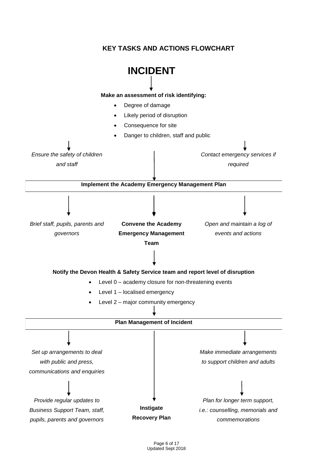## **KEY TASKS AND ACTIONS FLOWCHART**

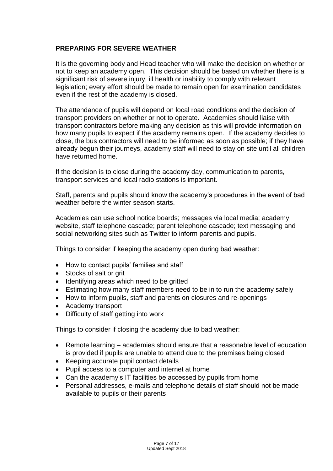#### **PREPARING FOR SEVERE WEATHER**

It is the governing body and Head teacher who will make the decision on whether or not to keep an academy open. This decision should be based on whether there is a significant risk of severe injury, ill health or inability to comply with relevant legislation; every effort should be made to remain open for examination candidates even if the rest of the academy is closed.

The attendance of pupils will depend on local road conditions and the decision of transport providers on whether or not to operate. Academies should liaise with transport contractors before making any decision as this will provide information on how many pupils to expect if the academy remains open. If the academy decides to close, the bus contractors will need to be informed as soon as possible; if they have already begun their journeys, academy staff will need to stay on site until all children have returned home.

If the decision is to close during the academy day, communication to parents, transport services and local radio stations is important.

Staff, parents and pupils should know the academy's procedures in the event of bad weather before the winter season starts.

Academies can use school notice boards; messages via local media; academy website, staff telephone cascade; parent telephone cascade; text messaging and social networking sites such as Twitter to inform parents and pupils.

Things to consider if keeping the academy open during bad weather:

- How to contact pupils' families and staff
- Stocks of salt or grit
- Identifying areas which need to be gritted
- Estimating how many staff members need to be in to run the academy safely
- How to inform pupils, staff and parents on closures and re-openings
- Academy transport
- Difficulty of staff getting into work

Things to consider if closing the academy due to bad weather:

- Remote learning academies should ensure that a reasonable level of education is provided if pupils are unable to attend due to the premises being closed
- Keeping accurate pupil contact details
- Pupil access to a computer and internet at home
- Can the academy's IT facilities be accessed by pupils from home
- Personal addresses, e-mails and telephone details of staff should not be made available to pupils or their parents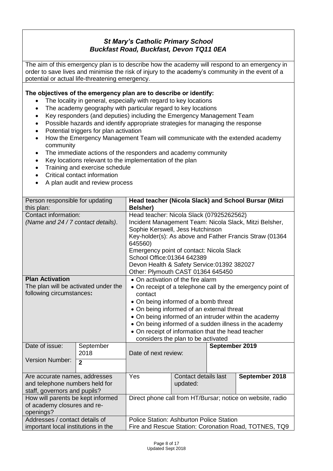## *St Mary's Catholic Primary School Buckfast Road, Buckfast, Devon TQ11 0EA*

The aim of this emergency plan is to describe how the academy will respond to an emergency in order to save lives and minimise the risk of injury to the academy's community in the event of a potential or actual life-threatening emergency.

#### **The objectives of the emergency plan are to describe or identify:**

- The locality in general, especially with regard to key locations
- The academy geography with particular regard to key locations
- Key responders (and deputies) including the Emergency Management Team
- Possible hazards and identify appropriate strategies for managing the response
- Potential triggers for plan activation
- How the Emergency Management Team will communicate with the extended academy community
- The immediate actions of the responders and academy community
- Key locations relevant to the implementation of the plan
- Training and exercise schedule
- Critical contact information
- A plan audit and review process

| Person responsible for updating      |                | Head teacher (Nicola Slack) and School Bursar (Mitzi       |                                                        |                |                                                            |  |  |  |  |  |
|--------------------------------------|----------------|------------------------------------------------------------|--------------------------------------------------------|----------------|------------------------------------------------------------|--|--|--|--|--|
| this plan:                           |                | <b>Belsher)</b>                                            |                                                        |                |                                                            |  |  |  |  |  |
| Contact information:                 |                | Head teacher: Nicola Slack (07925262562)                   |                                                        |                |                                                            |  |  |  |  |  |
| (Name and 24 / 7 contact details).   |                |                                                            | Incident Management Team: Nicola Slack, Mitzi Belsher, |                |                                                            |  |  |  |  |  |
|                                      |                | Sophie Kerswell, Jess Hutchinson                           |                                                        |                |                                                            |  |  |  |  |  |
|                                      |                | 645560)                                                    |                                                        |                | Key-holder(s): As above and Father Francis Straw (01364    |  |  |  |  |  |
|                                      |                | Emergency point of contact: Nicola Slack                   |                                                        |                |                                                            |  |  |  |  |  |
|                                      |                | School Office: 01364 642389                                |                                                        |                |                                                            |  |  |  |  |  |
|                                      |                | Devon Health & Safety Service: 01392 382027                |                                                        |                |                                                            |  |  |  |  |  |
|                                      |                | Other: Plymouth CAST 01364 645450                          |                                                        |                |                                                            |  |  |  |  |  |
| <b>Plan Activation</b>               |                | • On activation of the fire alarm                          |                                                        |                |                                                            |  |  |  |  |  |
| The plan will be activated under the |                |                                                            |                                                        |                | • On receipt of a telephone call by the emergency point of |  |  |  |  |  |
| following circumstances:             |                | contact                                                    |                                                        |                |                                                            |  |  |  |  |  |
|                                      |                | • On being informed of a bomb threat                       |                                                        |                |                                                            |  |  |  |  |  |
|                                      |                | • On being informed of an external threat                  |                                                        |                |                                                            |  |  |  |  |  |
|                                      |                |                                                            |                                                        |                | • On being informed of an intruder within the academy      |  |  |  |  |  |
|                                      |                |                                                            |                                                        |                | • On being informed of a sudden illness in the academy     |  |  |  |  |  |
|                                      |                | • On receipt of information that the head teacher          |                                                        |                |                                                            |  |  |  |  |  |
|                                      |                | considers the plan to be activated                         |                                                        |                |                                                            |  |  |  |  |  |
| Date of issue:                       | September      |                                                            |                                                        | September 2019 |                                                            |  |  |  |  |  |
|                                      | 2018           | Date of next review:                                       |                                                        |                |                                                            |  |  |  |  |  |
| <b>Version Number:</b>               | $\overline{2}$ |                                                            |                                                        |                |                                                            |  |  |  |  |  |
|                                      |                |                                                            |                                                        |                |                                                            |  |  |  |  |  |
| Are accurate names, addresses        |                | Yes                                                        | Contact details last                                   |                | September 2018                                             |  |  |  |  |  |
| and telephone numbers held for       |                |                                                            | updated:                                               |                |                                                            |  |  |  |  |  |
| staff, governors and pupils?         |                |                                                            |                                                        |                |                                                            |  |  |  |  |  |
| How will parents be kept informed    |                | Direct phone call from HT/Bursar; notice on website, radio |                                                        |                |                                                            |  |  |  |  |  |
| of academy closures and re-          |                |                                                            |                                                        |                |                                                            |  |  |  |  |  |
| openings?                            |                |                                                            |                                                        |                |                                                            |  |  |  |  |  |
| Addresses / contact details of       |                | <b>Police Station: Ashburton Police Station</b>            |                                                        |                |                                                            |  |  |  |  |  |
| important local institutions in the  |                | Fire and Rescue Station: Coronation Road, TOTNES, TQ9      |                                                        |                |                                                            |  |  |  |  |  |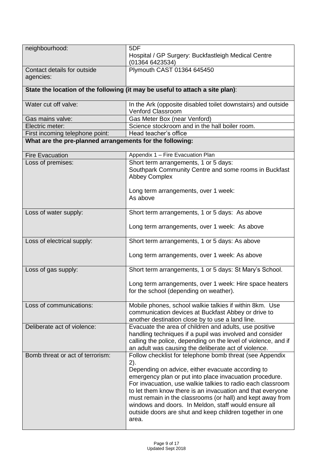| neighbourhood:                                           | 5DF<br>Hospital / GP Surgery: Buckfastleigh Medical Centre<br>(01364 6423534)                                                                                                                                                                                                                                                                                                                                                                                                                           |
|----------------------------------------------------------|---------------------------------------------------------------------------------------------------------------------------------------------------------------------------------------------------------------------------------------------------------------------------------------------------------------------------------------------------------------------------------------------------------------------------------------------------------------------------------------------------------|
| Contact details for outside<br>agencies:                 | Plymouth CAST 01364 645450                                                                                                                                                                                                                                                                                                                                                                                                                                                                              |
|                                                          | State the location of the following (it may be useful to attach a site plan):                                                                                                                                                                                                                                                                                                                                                                                                                           |
| Water cut off valve:                                     | In the Ark (opposite disabled toilet downstairs) and outside<br><b>Venford Classroom</b>                                                                                                                                                                                                                                                                                                                                                                                                                |
| Gas mains valve:                                         | Gas Meter Box (near Venford)                                                                                                                                                                                                                                                                                                                                                                                                                                                                            |
| Electric meter:                                          | Science stockroom and in the hall boiler room.                                                                                                                                                                                                                                                                                                                                                                                                                                                          |
| First incoming telephone point:                          | Head teacher's office                                                                                                                                                                                                                                                                                                                                                                                                                                                                                   |
| What are the pre-planned arrangements for the following: |                                                                                                                                                                                                                                                                                                                                                                                                                                                                                                         |
| <b>Fire Evacuation</b>                                   | Appendix 1 - Fire Evacuation Plan                                                                                                                                                                                                                                                                                                                                                                                                                                                                       |
| Loss of premises:                                        | Short term arrangements, 1 or 5 days:<br>Southpark Community Centre and some rooms in Buckfast<br><b>Abbey Complex</b>                                                                                                                                                                                                                                                                                                                                                                                  |
|                                                          | Long term arrangements, over 1 week:<br>As above                                                                                                                                                                                                                                                                                                                                                                                                                                                        |
| Loss of water supply:                                    | Short term arrangements, 1 or 5 days: As above                                                                                                                                                                                                                                                                                                                                                                                                                                                          |
|                                                          | Long term arrangements, over 1 week: As above                                                                                                                                                                                                                                                                                                                                                                                                                                                           |
| Loss of electrical supply:                               | Short term arrangements, 1 or 5 days: As above                                                                                                                                                                                                                                                                                                                                                                                                                                                          |
|                                                          | Long term arrangements, over 1 week: As above                                                                                                                                                                                                                                                                                                                                                                                                                                                           |
| Loss of gas supply:                                      | Short term arrangements, 1 or 5 days: St Mary's School.                                                                                                                                                                                                                                                                                                                                                                                                                                                 |
|                                                          | Long term arrangements, over 1 week: Hire space heaters<br>for the school (depending on weather).                                                                                                                                                                                                                                                                                                                                                                                                       |
| Loss of communications:                                  | Mobile phones, school walkie talkies if within 8km. Use<br>communication devices at Buckfast Abbey or drive to<br>another destination close by to use a land line.                                                                                                                                                                                                                                                                                                                                      |
| Deliberate act of violence:                              | Evacuate the area of children and adults, use positive<br>handling techniques if a pupil was involved and consider<br>calling the police, depending on the level of violence, and if<br>an adult was causing the deliberate act of violence.                                                                                                                                                                                                                                                            |
| Bomb threat or act of terrorism:                         | Follow checklist for telephone bomb threat (see Appendix<br>2).<br>Depending on advice, either evacuate according to<br>emergency plan or put into place invacuation procedure.<br>For invacuation, use walkie talkies to radio each classroom<br>to let them know there is an invacuation and that everyone<br>must remain in the classrooms (or hall) and kept away from<br>windows and doors. In Meldon, staff would ensure all<br>outside doors are shut and keep children together in one<br>area. |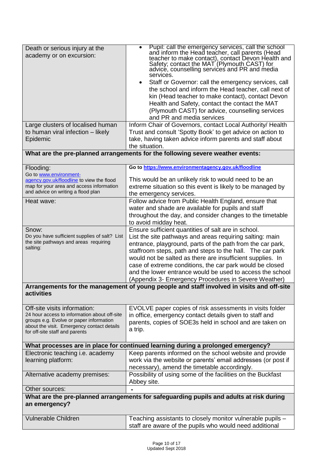| Death or serious injury at the<br>academy or on excursion:<br>Large clusters of localised human<br>to human viral infection - likely<br>Epidemic                                                        | Pupil: call the emergency services, call the school<br>and inform the Head teacher, call parents (Head<br>teacher to make contact), contact Devon Health and<br>$\bullet$<br>Safety; contact the MAT (Plymouth CAST) for<br>advice, counselling services and PR and media<br>services.<br>Staff or Governor: call the emergency services, call<br>the school and inform the Head teacher, call next of<br>kin (Head teacher to make contact), contact Devon<br>Health and Safety, contact the contact the MAT<br>(Plymouth CAST) for advice, counselling services<br>and PR and media services<br>Inform Chair of Governors, contact Local Authority/ Health<br>Trust and consult 'Spotty Book' to get advice on action to<br>take, having taken advice inform parents and staff about |
|---------------------------------------------------------------------------------------------------------------------------------------------------------------------------------------------------------|----------------------------------------------------------------------------------------------------------------------------------------------------------------------------------------------------------------------------------------------------------------------------------------------------------------------------------------------------------------------------------------------------------------------------------------------------------------------------------------------------------------------------------------------------------------------------------------------------------------------------------------------------------------------------------------------------------------------------------------------------------------------------------------|
|                                                                                                                                                                                                         | the situation.<br>What are the pre-planned arrangements for the following severe weather events:                                                                                                                                                                                                                                                                                                                                                                                                                                                                                                                                                                                                                                                                                       |
| Flooding:<br>Go to www.environment-<br>agency.gov.uk/floodline to view the flood<br>map for your area and access information<br>and advice on writing a flood plan                                      | Go to https://www.environmentagency.gov.uk/floodline<br>This would be an unlikely risk to would need to be an<br>extreme situation so this event is likely to be managed by<br>the emergency services.                                                                                                                                                                                                                                                                                                                                                                                                                                                                                                                                                                                 |
| Heat wave:                                                                                                                                                                                              | Follow advice from Public Health England, ensure that<br>water and shade are available for pupils and staff<br>throughout the day, and consider changes to the timetable<br>to avoid midday heat.                                                                                                                                                                                                                                                                                                                                                                                                                                                                                                                                                                                      |
| Snow:<br>Do you have sufficient supplies of salt? List<br>the site pathways and areas requiring<br>salting:                                                                                             | Ensure sufficient quantities of salt are in school.<br>List the site pathways and areas requiring salting: main<br>entrance, playground, parts of the path from the car park,<br>staffroom steps, path and steps to the hall. The car park<br>would not be salted as there are insufficient supplies. In<br>case of extreme conditions, the car park would be closed<br>and the lower entrance would be used to access the school<br>(Appendix 3- Emergency Procedures in Severe Weather)                                                                                                                                                                                                                                                                                              |
| activities                                                                                                                                                                                              | Arrangements for the management of young people and staff involved in visits and off-site                                                                                                                                                                                                                                                                                                                                                                                                                                                                                                                                                                                                                                                                                              |
| Off-site visits information:<br>24 hour access to information about off-site<br>groups e.g. Evolve or paper information<br>about the visit. Emergency contact details<br>for off-site staff and parents | EVOLVE paper copies of risk assessments in visits folder<br>in office, emergency contact details given to staff and<br>parents, copies of SOE3s held in school and are taken on<br>a trip.                                                                                                                                                                                                                                                                                                                                                                                                                                                                                                                                                                                             |
|                                                                                                                                                                                                         | What processes are in place for continued learning during a prolonged emergency?                                                                                                                                                                                                                                                                                                                                                                                                                                                                                                                                                                                                                                                                                                       |
| Electronic teaching i.e. academy<br>learning platform:                                                                                                                                                  | Keep parents informed on the school website and provide<br>work via the website or parents' email addresses (or post if<br>necessary), amend the timetable accordingly.                                                                                                                                                                                                                                                                                                                                                                                                                                                                                                                                                                                                                |
| Alternative academy premises:                                                                                                                                                                           | Possibility of using some of the facilities on the Buckfast<br>Abbey site.                                                                                                                                                                                                                                                                                                                                                                                                                                                                                                                                                                                                                                                                                                             |
| Other sources:                                                                                                                                                                                          |                                                                                                                                                                                                                                                                                                                                                                                                                                                                                                                                                                                                                                                                                                                                                                                        |
| an emergency?                                                                                                                                                                                           | What are the pre-planned arrangements for safeguarding pupils and adults at risk during                                                                                                                                                                                                                                                                                                                                                                                                                                                                                                                                                                                                                                                                                                |
| <b>Vulnerable Children</b>                                                                                                                                                                              | Teaching assistants to closely monitor vulnerable pupils -<br>staff are aware of the pupils who would need additional                                                                                                                                                                                                                                                                                                                                                                                                                                                                                                                                                                                                                                                                  |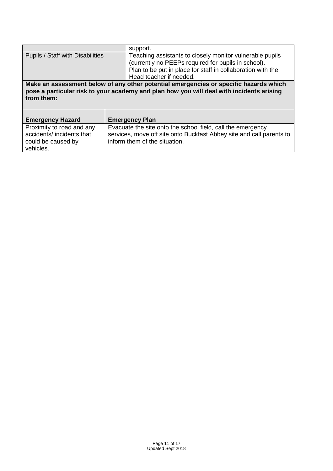|                                  | support.                                                                                 |
|----------------------------------|------------------------------------------------------------------------------------------|
| Pupils / Staff with Disabilities | Teaching assistants to closely monitor vulnerable pupils                                 |
|                                  | (currently no PEEPs required for pupils in school).                                      |
|                                  | Plan to be put in place for staff in collaboration with the                              |
|                                  | Head teacher if needed.                                                                  |
|                                  | Make an assessment below of any other potential emergencies or specific hazards which    |
|                                  | pose a particular risk to your academy and plan how you will deal with incidents arising |
| from them:                       |                                                                                          |
|                                  |                                                                                          |
|                                  |                                                                                          |
| <b>Emergency Hazard</b>          | <b>Emergency Plan</b>                                                                    |
| Proximity to road and any        | Evacuate the site onto the school field, call the emergency                              |
| accidents/ incidents that        | services, move off site onto Buckfast Abbey site and call parents to                     |
| could be caused by               | inform them of the situation.                                                            |
| vehicles.                        |                                                                                          |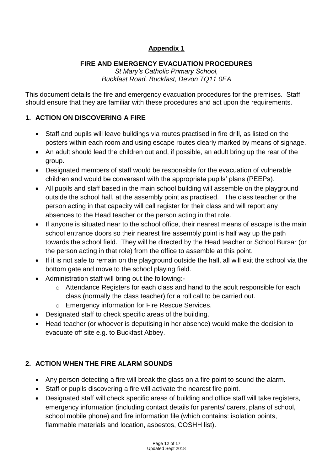## **Appendix 1**

## **FIRE AND EMERGENCY EVACUATION PROCEDURES**

*St Mary's Catholic Primary School, Buckfast Road, Buckfast, Devon TQ11 0EA*

This document details the fire and emergency evacuation procedures for the premises. Staff should ensure that they are familiar with these procedures and act upon the requirements.

## **1. ACTION ON DISCOVERING A FIRE**

- Staff and pupils will leave buildings via routes practised in fire drill, as listed on the posters within each room and using escape routes clearly marked by means of signage.
- An adult should lead the children out and, if possible, an adult bring up the rear of the group.
- Designated members of staff would be responsible for the evacuation of vulnerable children and would be conversant with the appropriate pupils' plans (PEEPs).
- All pupils and staff based in the main school building will assemble on the playground outside the school hall, at the assembly point as practised. The class teacher or the person acting in that capacity will call register for their class and will report any absences to the Head teacher or the person acting in that role.
- If anyone is situated near to the school office, their nearest means of escape is the main school entrance doors so their nearest fire assembly point is half way up the path towards the school field. They will be directed by the Head teacher or School Bursar (or the person acting in that role) from the office to assemble at this point.
- If it is not safe to remain on the playground outside the hall, all will exit the school via the bottom gate and move to the school playing field.
- Administration staff will bring out the following:
	- o Attendance Registers for each class and hand to the adult responsible for each class (normally the class teacher) for a roll call to be carried out.
	- o Emergency information for Fire Rescue Services.
- Designated staff to check specific areas of the building.
- Head teacher (or whoever is deputising in her absence) would make the decision to evacuate off site e.g. to Buckfast Abbey.

## **2. ACTION WHEN THE FIRE ALARM SOUNDS**

- Any person detecting a fire will break the glass on a fire point to sound the alarm.
- Staff or pupils discovering a fire will activate the nearest fire point.
- Designated staff will check specific areas of building and office staff will take registers, emergency information (including contact details for parents/ carers, plans of school, school mobile phone) and fire information file (which contains: isolation points, flammable materials and location, asbestos, COSHH list).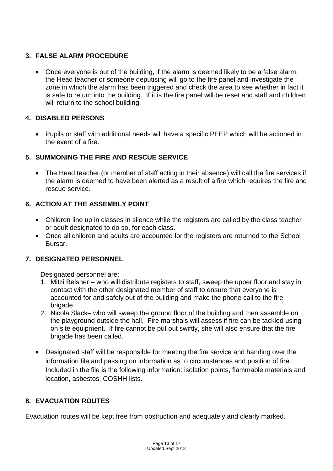## **3. FALSE ALARM PROCEDURE**

 Once everyone is out of the building, if the alarm is deemed likely to be a false alarm, the Head teacher or someone deputising will go to the fire panel and investigate the zone in which the alarm has been triggered and check the area to see whether in fact it is safe to return into the building. If it is the fire panel will be reset and staff and children will return to the school building.

#### **4. DISABLED PERSONS**

 Pupils or staff with additional needs will have a specific PEEP which will be actioned in the event of a fire.

## **5. SUMMONING THE FIRE AND RESCUE SERVICE**

 The Head teacher (or member of staff acting in their absence) will call the fire services if the alarm is deemed to have been alerted as a result of a fire which requires the fire and rescue service.

## **6. ACTION AT THE ASSEMBLY POINT**

- Children line up in classes in silence while the registers are called by the class teacher or adult designated to do so, for each class.
- Once all children and adults are accounted for the registers are returned to the School Bursar.

## **7. DESIGNATED PERSONNEL**

Designated personnel are:

- 1. Mitzi Belsher who will distribute registers to staff, sweep the upper floor and stay in contact with the other designated member of staff to ensure that everyone is accounted for and safely out of the building and make the phone call to the fire brigade.
- 2. Nicola Slack– who will sweep the ground floor of the building and then assemble on the playground outside the hall. Fire marshals will assess if fire can be tackled using on site equipment. If fire cannot be put out swiftly, she will also ensure that the fire brigade has been called.
- Designated staff will be responsible for meeting the fire service and handing over the information file and passing on information as to circumstances and position of fire. Included in the file is the following information: isolation points, flammable materials and location, asbestos, COSHH lists.

#### **8. EVACUATION ROUTES**

Evacuation routes will be kept free from obstruction and adequately and clearly marked.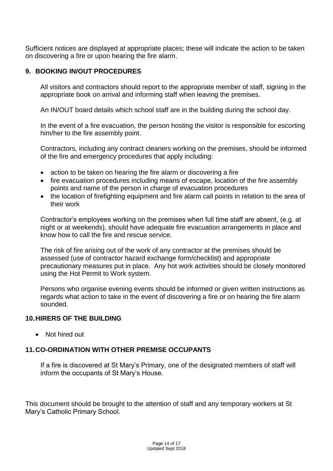Sufficient notices are displayed at appropriate places; these will indicate the action to be taken on discovering a fire or upon hearing the fire alarm.

#### **9. BOOKING IN/OUT PROCEDURES**

All visitors and contractors should report to the appropriate member of staff, signing in the appropriate book on arrival and informing staff when leaving the premises.

An IN/OUT board details which school staff are in the building during the school day.

In the event of a fire evacuation, the person hosting the visitor is responsible for escorting him/her to the fire assembly point.

Contractors, including any contract cleaners working on the premises, should be informed of the fire and emergency procedures that apply including:

- action to be taken on hearing the fire alarm or discovering a fire
- fire evacuation procedures including means of escape, location of the fire assembly points and name of the person in charge of evacuation procedures
- the location of firefighting equipment and fire alarm call points in relation to the area of their work

Contractor's employees working on the premises when full time staff are absent, (e.g. at night or at weekends), should have adequate fire evacuation arrangements in place and know how to call the fire and rescue service.

The risk of fire arising out of the work of any contractor at the premises should be assessed (use of contractor hazard exchange form/checklist) and appropriate precautionary measures put in place. Any hot work activities should be closely monitored using the Hot Permit to Work system.

Persons who organise evening events should be informed or given written instructions as regards what action to take in the event of discovering a fire or on hearing the fire alarm sounded.

#### **10.HIRERS OF THE BUILDING**

Not hired out

#### **11.CO-ORDINATION WITH OTHER PREMISE OCCUPANTS**

If a fire is discovered at St Mary's Primary, one of the designated members of staff will inform the occupants of St Mary's House.

This document should be brought to the attention of staff and any temporary workers at St Mary's Catholic Primary School.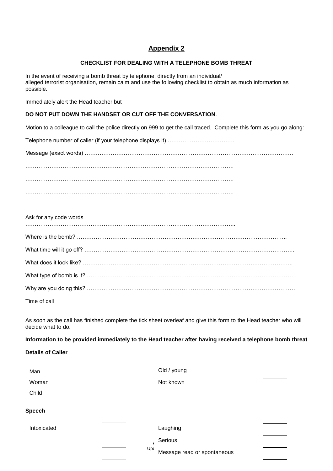## **Appendix 2**

#### **CHECKLIST FOR DEALING WITH A TELEPHONE BOMB THREAT**

In the event of receiving a bomb threat by telephone, directly from an individual/ alleged terrorist organisation, remain calm and use the following checklist to obtain as much information as possible.

Immediately alert the Head teacher but

#### **DO NOT PUT DOWN THE HANDSET OR CUT OFF THE CONVERSATION**.

Motion to a colleague to call the police directly on 999 to get the call traced. Complete this form as you go along:

Telephone number of caller (if your telephone displays it) ………………………………

Message (exact words) ………………………………………………………………………………………………….

………………………………………………………………………………………………….

………………………………………………………………………………………………….

|  |  |  |  | Ask for any code words |
|--|--|--|--|------------------------|
|--|--|--|--|------------------------|

…………………………………………………………………………………………………..

|--|--|

What time will it go off? …………………………………………………………………………………………………..

What does it look like? …………………………………………………………………………………………………..

What type of bomb is it? ……………………………..……………………………………………………………………

Time of call

…………………………………………………………………………………………………..

As soon as the call has finished complete the tick sheet overleaf and give this form to the Head teacher who will decide what to do.

#### **Information to be provided immediately to the Head teacher after having received a telephone bomb threat**

#### **Details of Caller**

| Man           | Old / young |  |
|---------------|-------------|--|
| Woman         | Not known   |  |
| Child         |             |  |
| <b>Speech</b> |             |  |
| Intoxicated   | Laughing    |  |
|               | Serious     |  |

Updated Or spontaneous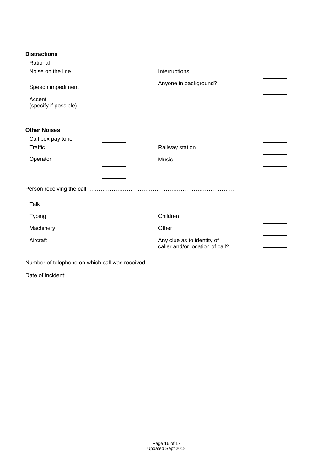#### **Distractions**

| Rational                        |                                                               |  |
|---------------------------------|---------------------------------------------------------------|--|
| Noise on the line               | Interruptions                                                 |  |
| Speech impediment               | Anyone in background?                                         |  |
| Accent<br>(specify if possible) |                                                               |  |
| <b>Other Noises</b>             |                                                               |  |
| Call box pay tone               |                                                               |  |
| <b>Traffic</b>                  | Railway station                                               |  |
| Operator                        | Music                                                         |  |
|                                 |                                                               |  |
|                                 |                                                               |  |
| <b>Talk</b>                     |                                                               |  |
| <b>Typing</b>                   | Children                                                      |  |
| Machinery                       | Other                                                         |  |
| Aircraft                        | Any clue as to identity of<br>caller and/or location of call? |  |
|                                 |                                                               |  |
|                                 |                                                               |  |